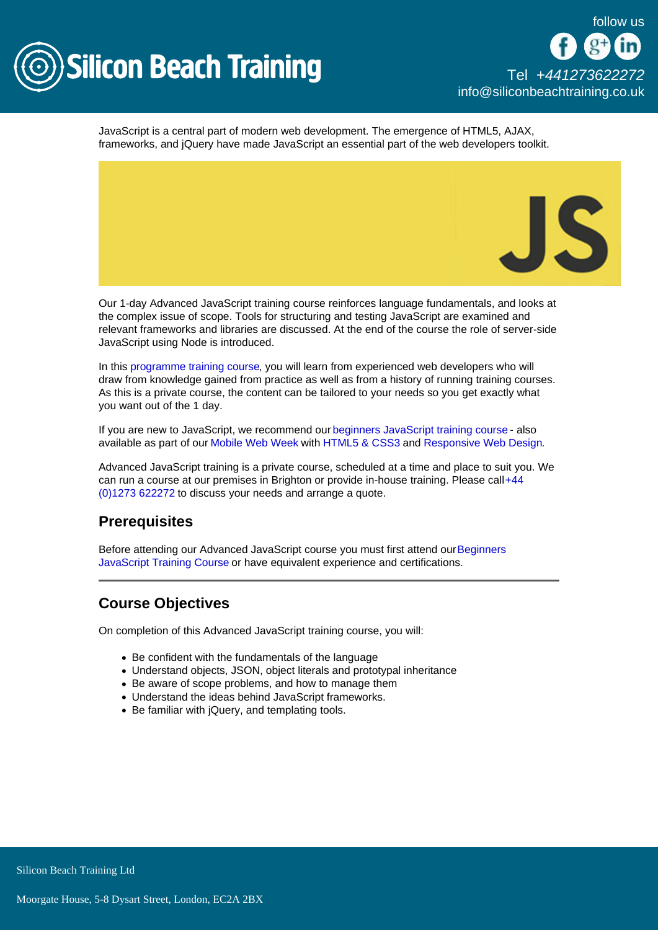

JavaScript is a central part of modern web development. The emergence of HTML5, AJAX, frameworks, and jQuery have made JavaScript an essential part of the web developers toolkit.

Our 1-day Advanced JavaScript training course reinforces language fundamentals, and looks at the complex issue of scope. Tools for structuring and testing JavaScript are examined and relevant frameworks and libraries are discussed. At the end of the course the role of server-side JavaScript using Node is introduced.

In this [programme training course,](/programming-training) you will learn from experienced web developers who will draw from knowledge gained from practice as well as from a history of running training courses. As this is a private course, the content can be tailored to your needs so you get exactly what you want out of the 1 day.

If you are new to JavaScript, we recommend our [beginners JavaScript training course](/programming-training/javascript-training) - also available as part of our [Mobile Web Week](/mobile-development-training/mobile-web-design-course-week) with [HTML5 & CSS3](/web-design-training/html5-css3-training) and [Responsive Web Design](/mobile-development-training/responsive-web-design-training).

Advanced JavaScript training is a private course, scheduled at a time and place to suit you. We can run a course at our premises in Brighton or provide in-house training. Please call [+44](tel:441273622272)  [\(0\)1273 622272](tel:441273622272) to discuss your needs and arrange a quote.

# **Prerequisites**

Before attending our Advanced JavaScript course you must first attend our [Beginners](/programming-training/javascript-training)  [JavaScript Training Course](/programming-training/javascript-training) or have equivalent experience and certifications.

# Course Objectives

On completion of this Advanced JavaScript training course, you will:

- Be confident with the fundamentals of the language
- Understand objects, JSON, object literals and prototypal inheritance
- Be aware of scope problems, and how to manage them
- Understand the ideas behind JavaScript frameworks.
- Be familiar with jQuery, and templating tools.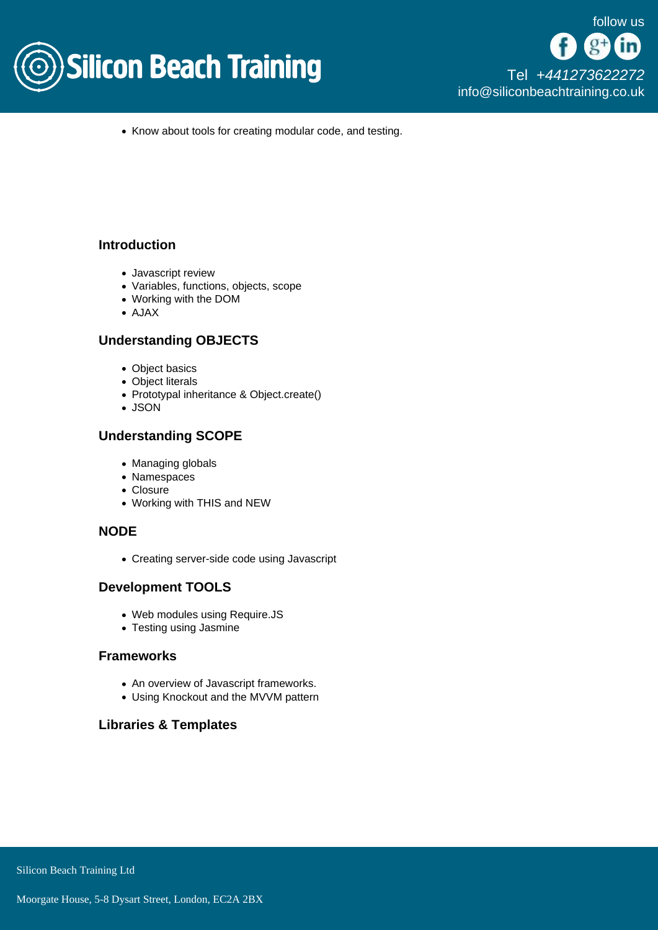

• Know about tools for creating modular code, and testing.

### **Introduction**

- Javascript review
- Variables, functions, objects, scope
- Working with the DOM
- AJAX

## Understanding OBJECTS

- Object basics
- Object literals
- Prototypal inheritance & Object.create()
- JSON

## Understanding SCOPE

- Managing globals
- Namespaces
- Closure
- Working with THIS and NEW

## NODE

Creating server-side code using Javascript

## Development TOOLS

- Web modules using Require.JS
- Testing using Jasmine

### Frameworks

- An overview of Javascript frameworks.
- Using Knockout and the MVVM pattern

## Libraries & Templates